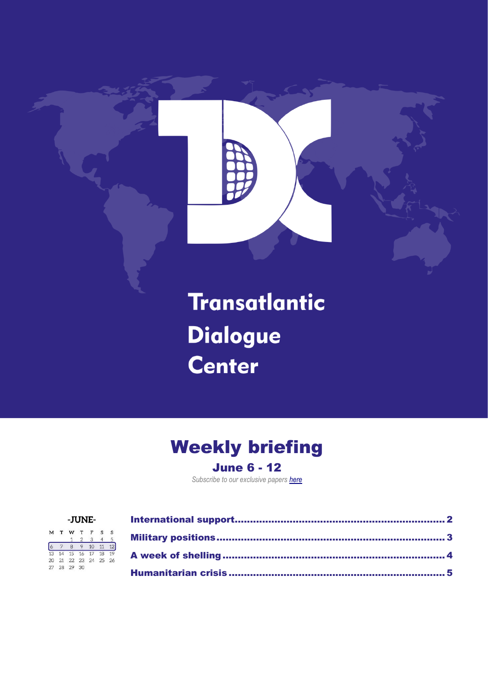

#### Weekly briefing June 6 - 12

*Subscribe to our exclusive papers [here](https://tdcenter.org/2022/03/29/subscribe/)*

|    |    |              | -JUNE-         |               |              |    |
|----|----|--------------|----------------|---------------|--------------|----|
| M  |    | W            | T              | F             | $\, {\bf S}$ | s  |
|    |    | $\mathbf{1}$ | $\overline{2}$ | $\mathcal{R}$ |              | 5  |
|    |    | 8            | $\overline{9}$ | 10            | 11           |    |
| 13 | 14 | 15 16 17     |                |               | 18           | 19 |
| 20 | 21 | 22 23 24 25  |                |               |              | 26 |
| 27 | 28 | 29           | 30             |               |              |    |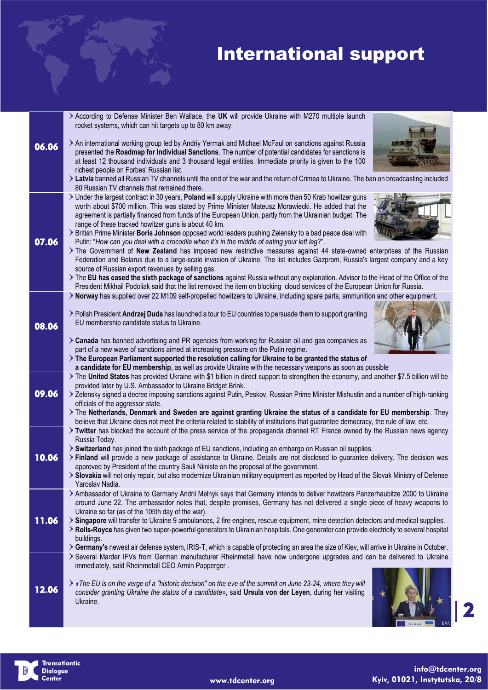#### International support

|       | > According to Defense Minister Ben Wallace, the UK will provide Ukraine with M270 multiple launch                                                                                                                                                                |
|-------|-------------------------------------------------------------------------------------------------------------------------------------------------------------------------------------------------------------------------------------------------------------------|
|       | rocket systems, which can hit targets up to 80 km away.                                                                                                                                                                                                           |
|       |                                                                                                                                                                                                                                                                   |
| 06.06 | > An international working group led by Andriy Yermak and Michael McFaul on sanctions against Russia<br>presented the Roadmap for Individual Sanctions. The number of potential candidates for sanctions is                                                       |
|       | at least 12 thousand individuals and 3 thousand legal entities. Immediate priority is given to the 100                                                                                                                                                            |
|       | richest people on Forbes' Russian list.                                                                                                                                                                                                                           |
|       | > Latvia banned all Russian TV channels until the end of the war and the return of Crimea to Ukraine. The ban on broadcasting included<br>80 Russian TV channels that remained there.                                                                             |
|       | > Under the largest contract in 30 years, Poland will supply Ukraine with more than 50 Krab howitzer guns                                                                                                                                                         |
|       | worth about \$700 million. This was stated by Prime Minister Mateusz Morawiecki. He added that the                                                                                                                                                                |
|       | agreement is partially financed from funds of the European Union, partly from the Ukrainian budget. The                                                                                                                                                           |
|       | range of these tracked howitzer guns is about 40 km.                                                                                                                                                                                                              |
| 07.06 | > British Prime Minister Boris Johnson opposed world leaders pushing Zelensky to a bad peace deal with<br>Putin: "How can you deal with a crocodile when it's in the middle of eating your left leg?".                                                            |
|       | The Government of New Zealand has imposed new restrictive measures against 44 state-owned enterprises of the Russian                                                                                                                                              |
|       | Federation and Belarus due to a large-scale invasion of Ukraine. The list includes Gazprom, Russia's largest company and a key                                                                                                                                    |
|       | source of Russian export revenues by selling gas.                                                                                                                                                                                                                 |
|       | > The EU has eased the sixth package of sanctions against Russia without any explanation. Advisor to the Head of the Office of the<br>President Mikhail Podoliak said that the list removed the item on blocking cloud services of the European Union for Russia. |
|       | > Norway has supplied over 22 M109 self-propelled howitzers to Ukraine, including spare parts, ammunition and other equipment.                                                                                                                                    |
|       |                                                                                                                                                                                                                                                                   |
|       | > Polish President Andrzej Duda has launched a tour to EU countries to persuade them to support granting                                                                                                                                                          |
| 08.06 | EU membership candidate status to Ukraine.                                                                                                                                                                                                                        |
|       | > Canada has banned advertising and PR agencies from working for Russian oil and gas companies as                                                                                                                                                                 |
|       | part of a new wave of sanctions aimed at increasing pressure on the Putin regime.                                                                                                                                                                                 |
|       | The European Parliament supported the resolution calling for Ukraine to be granted the status of                                                                                                                                                                  |
|       | a candidate for EU membership, as well as provide Ukraine with the necessary weapons as soon as possible<br>The United States has provided Ukraine with \$1 billion in direct support to strengthen the economy, and another \$7.5 billion will be                |
|       | provided later by U.S. Ambassador to Ukraine Bridget Brink.                                                                                                                                                                                                       |
| 09.06 | > Zelensky signed a decree imposing sanctions against Putin, Peskov, Russian Prime Minister Mishustin and a number of high-ranking                                                                                                                                |
|       | officials of the aggressor state.                                                                                                                                                                                                                                 |
|       | > The Netherlands, Denmark and Sweden are against granting Ukraine the status of a candidate for EU membership. They<br>believe that Ukraine does not meet the criteria related to stability of institutions that guarantee democracy, the rule of law, etc.      |
|       | > Twitter has blocked the account of the press service of the propaganda channel RT France owned by the Russian news agency                                                                                                                                       |
|       | Russia Today.                                                                                                                                                                                                                                                     |
|       | > Switzerland has joined the sixth package of EU sanctions, including an embargo on Russian oil supplies.                                                                                                                                                         |
| 10.06 | > Finland will provide a new package of assistance to Ukraine. Details are not disclosed to guarantee delivery. The decision was<br>approved by President of the country Sauli Niiniste on the proposal of the government.                                        |
|       | > Slovakia will not only repair, but also modernize Ukrainian military equipment as reported by Head of the Slovak Ministry of Defense                                                                                                                            |
|       | Yaroslav Nadia.                                                                                                                                                                                                                                                   |
|       | > Ambassador of Ukraine to Germany Andrii Melnyk says that Germany intends to deliver howitzers Panzerhaubitze 2000 to Ukraine                                                                                                                                    |
|       | around June 22. The ambassador notes that, despite promises, Germany has not delivered a single piece of heavy weapons to<br>Ukraine so far (as of the 105th day of the war).                                                                                     |
| 11.06 | > Singapore will transfer to Ukraine 9 ambulances, 2 fire engines, rescue equipment, mine detection detectors and medical supplies.                                                                                                                               |
|       | > Rolls-Royce has given two super-powerful generators to Ukrainian hospitals. One generator can provide electricity to several hospital                                                                                                                           |
|       | buildings.                                                                                                                                                                                                                                                        |
|       | > Germany's newest air defense system, IRIS-T, which is capable of protecting an area the size of Kiev, will arrive in Ukraine in October.                                                                                                                        |
|       | > Several Marder IFVs from German manufacturer Rheinmetall have now undergone upgrades and can be delivered to Ukraine<br>immediately, said Rheinmetall CEO Armin Papperger.                                                                                      |
|       |                                                                                                                                                                                                                                                                   |
| 12.06 | ▶ «The EU is on the verge of a "historic decision" on the eve of the summit on June 23-24, where they will                                                                                                                                                        |
|       | consider granting Ukraine the status of a candidate», said Ursula von der Leyen, during her visiting                                                                                                                                                              |
|       | Ukraine.                                                                                                                                                                                                                                                          |
|       |                                                                                                                                                                                                                                                                   |



info@tdcenter.org Kyiv, 01021, Instytutska, 20/8

2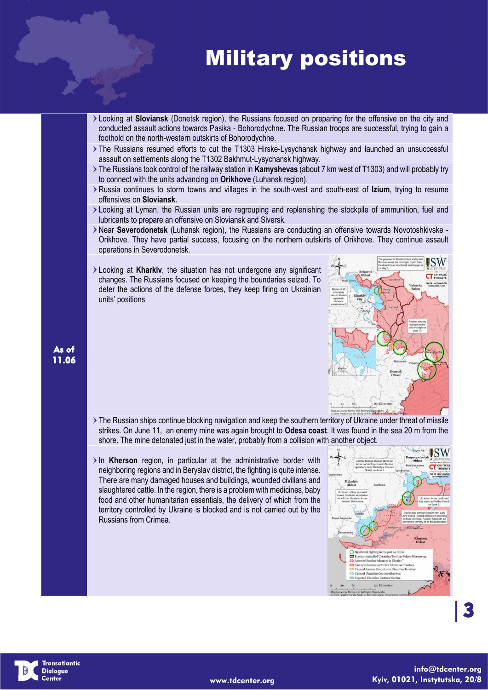## Military positions

- Looking at **Sloviansk** (Donetsk region), the Russians focused on preparing for the offensive on the city and conducted assault actions towards Pasika - Bohorodychne. The Russian troops are successful, trying to gain a foothold on the north-western outskirts of Bohorodychne.
- The Russians resumed efforts to cut the T1303 Hirske-Lysychansk highway and launched an unsuccessful assault on settlements along the T1302 Bakhmut-Lysychansk highway.
- The Russians took control of the railway station in **Kamyshevas** (about 7 km west of T1303) and will probably try to connect with the units advancing on **Orikhove** (Luhansk region).
- Russia continues to storm towns and villages in the south-west and south-east of **Izium**, trying to resume offensives on **Sloviansk**.
- Looking at Lyman, the Russian units are regrouping and replenishing the stockpile of ammunition, fuel and lubricants to prepare an offensive on Sloviansk and Siversk.
- Near **Severodonetsk** (Luhansk region), the Russians are conducting an offensive towards Novotoshkivske Orikhove. They have partial success, focusing on the northern outskirts of Orikhove. They continue assault operations in Severodonetsk.
- Looking at **Kharkiv**, the situation has not undergone any significant changes. The Russians focused on keeping the boundaries seized. To deter the actions of the defense forces, they keep firing on Ukrainian units' positions



- The Russian ships continue blocking navigation and keep the southern territory of Ukraine under threat of missile strikes. On June 11, an enemy mine was again brought to **Odesa coast**. It was found in the sea 20 m from the shore. The mine detonated just in the water, probably from a collision with another object.
- In Kherson region, in particular at the administrative border with neighboring regions and in Beryslav district, the fighting is quite intense. There are many damaged houses and buildings, wounded civilians and slaughtered cattle. In the region, there is a problem with medicines, baby food and other humanitarian essentials, the delivery of which from the territory controlled by Ukraine is blocked and is not carried out by the Russians from Crimea.



3

As of 11.06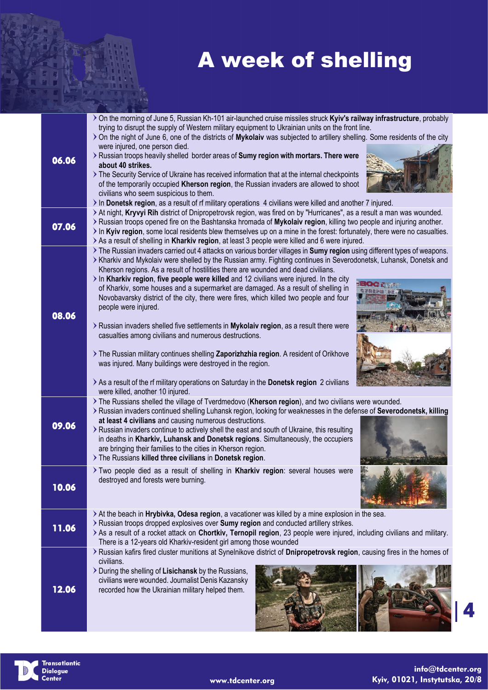# A week of shelling

|       | > On the morning of June 5, Russian Kh-101 air-launched cruise missiles struck Kyiv's railway infrastructure, probably<br>trying to disrupt the supply of Western military equipment to Ukrainian units on the front line.<br>> On the night of June 6, one of the districts of Mykolaiv was subjected to artillery shelling. Some residents of the city                                                                                                                                                                                                                                                                                                                                                                                                                                                                                                                                                                                                                                                                                                                           |
|-------|------------------------------------------------------------------------------------------------------------------------------------------------------------------------------------------------------------------------------------------------------------------------------------------------------------------------------------------------------------------------------------------------------------------------------------------------------------------------------------------------------------------------------------------------------------------------------------------------------------------------------------------------------------------------------------------------------------------------------------------------------------------------------------------------------------------------------------------------------------------------------------------------------------------------------------------------------------------------------------------------------------------------------------------------------------------------------------|
| 06.06 | were injured, one person died.<br>> Russian troops heavily shelled border areas of Sumy region with mortars. There were<br>about 40 strikes.<br>> The Security Service of Ukraine has received information that at the internal checkpoints<br>of the temporarily occupied Kherson region, the Russian invaders are allowed to shoot<br>civilians who seem suspicious to them.<br>In Donetsk region, as a result of rf military operations 4 civilians were killed and another 7 injured.                                                                                                                                                                                                                                                                                                                                                                                                                                                                                                                                                                                          |
| 07.06 | > At night, Kryvyi Rih district of Dnipropetrovsk region, was fired on by "Hurricanes", as a result a man was wounded.<br>> Russian troops opened fire on the Bashtanska hromada of Mykolaiv region, killing two people and injuring another.<br>In Kyiv region, some local residents blew themselves up on a mine in the forest: fortunately, there were no casualties.<br>> As a result of shelling in Kharkiv region, at least 3 people were killed and 6 were injured.                                                                                                                                                                                                                                                                                                                                                                                                                                                                                                                                                                                                         |
| 08.06 | > The Russian invaders carried out 4 attacks on various border villages in Sumy region using different types of weapons.<br>> Kharkiv and Mykolaiv were shelled by the Russian army. Fighting continues in Severodonetsk, Luhansk, Donetsk and<br>Kherson regions. As a result of hostilities there are wounded and dead civilians.<br>$\ge$ In Kharkiv region, five people were killed and 12 civilians were injured. In the city<br>of Kharkiv, some houses and a supermarket are damaged. As a result of shelling in<br>Novobavarsky district of the city, there were fires, which killed two people and four<br>people were injured.<br>> Russian invaders shelled five settlements in Mykolaiv region, as a result there were<br>casualties among civilians and numerous destructions.<br>> The Russian military continues shelling Zaporizhzhia region. A resident of Orikhove<br>was injured. Many buildings were destroyed in the region.<br>> As a result of the rf military operations on Saturday in the Donetsk region 2 civilians<br>were killed, another 10 injured. |
| 09.06 | > The Russians shelled the village of Tverdmedovo (Kherson region), and two civilians were wounded.<br>> Russian invaders continued shelling Luhansk region, looking for weaknesses in the defense of Severodonetsk, killing<br>at least 4 civilians and causing numerous destructions.<br>> Russian invaders continue to actively shell the east and south of Ukraine, this resulting<br>in deaths in Kharkiv, Luhansk and Donetsk regions. Simultaneously, the occupiers<br>are bringing their families to the cities in Kherson region.<br>> The Russians killed three civilians in Donetsk region.                                                                                                                                                                                                                                                                                                                                                                                                                                                                             |
| 10.06 | Two people died as a result of shelling in Kharkiv region: several houses were<br>destroyed and forests were burning.                                                                                                                                                                                                                                                                                                                                                                                                                                                                                                                                                                                                                                                                                                                                                                                                                                                                                                                                                              |
| 11.06 | > At the beach in Hrybivka, Odesa region, a vacationer was killed by a mine explosion in the sea.<br>> Russian troops dropped explosives over Sumy region and conducted artillery strikes.<br>> As a result of a rocket attack on Chortkiv, Ternopil region, 23 people were injured, including civilians and military.<br>There is a 12-years old Kharkiv-resident girl among those wounded                                                                                                                                                                                                                                                                                                                                                                                                                                                                                                                                                                                                                                                                                        |
| 12.06 | > Russian kafirs fired cluster munitions at Synelnikove district of Dnipropetrovsk region, causing fires in the homes of<br>civilians.<br>> During the shelling of Lisichansk by the Russians,<br>civilians were wounded. Journalist Denis Kazansky<br>recorded how the Ukrainian military helped them.                                                                                                                                                                                                                                                                                                                                                                                                                                                                                                                                                                                                                                                                                                                                                                            |